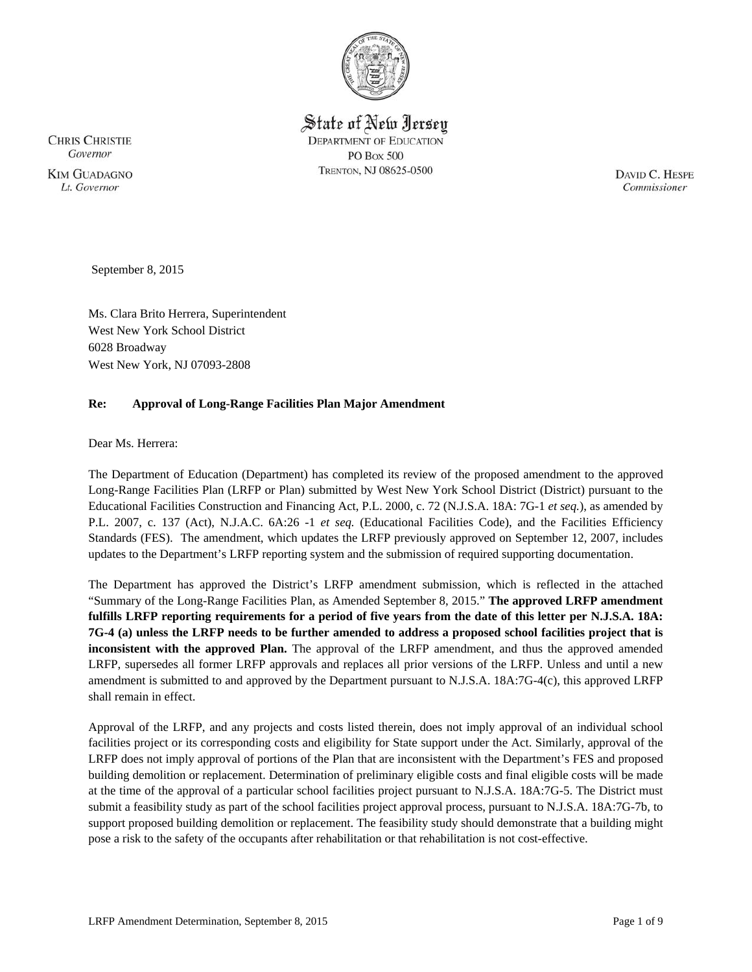

State of New Jersey **DEPARTMENT OF EDUCATION PO Box 500** TRENTON, NJ 08625-0500

**CHRIS CHRISTIE** Governor **KIM GUADAGNO** Lt. Governor

DAVID C. HESPE Commissioner

September 8, 2015

Ms. Clara Brito Herrera, Superintendent West New York School District 6028 Broadway West New York, NJ 07093-2808

## **Re: Approval of Long-Range Facilities Plan Major Amendment**

Dear Ms. Herrera:

The Department of Education (Department) has completed its review of the proposed amendment to the approved Long-Range Facilities Plan (LRFP or Plan) submitted by West New York School District (District) pursuant to the Educational Facilities Construction and Financing Act, P.L. 2000, c. 72 (N.J.S.A. 18A: 7G-1 *et seq.*), as amended by P.L. 2007, c. 137 (Act), N.J.A.C. 6A:26 -1 *et seq.* (Educational Facilities Code), and the Facilities Efficiency Standards (FES). The amendment, which updates the LRFP previously approved on September 12, 2007, includes updates to the Department's LRFP reporting system and the submission of required supporting documentation.

The Department has approved the District's LRFP amendment submission, which is reflected in the attached "Summary of the Long-Range Facilities Plan, as Amended September 8, 2015." **The approved LRFP amendment fulfills LRFP reporting requirements for a period of five years from the date of this letter per N.J.S.A. 18A: 7G-4 (a) unless the LRFP needs to be further amended to address a proposed school facilities project that is inconsistent with the approved Plan.** The approval of the LRFP amendment, and thus the approved amended LRFP, supersedes all former LRFP approvals and replaces all prior versions of the LRFP. Unless and until a new amendment is submitted to and approved by the Department pursuant to N.J.S.A. 18A:7G-4(c), this approved LRFP shall remain in effect.

Approval of the LRFP, and any projects and costs listed therein, does not imply approval of an individual school facilities project or its corresponding costs and eligibility for State support under the Act. Similarly, approval of the LRFP does not imply approval of portions of the Plan that are inconsistent with the Department's FES and proposed building demolition or replacement. Determination of preliminary eligible costs and final eligible costs will be made at the time of the approval of a particular school facilities project pursuant to N.J.S.A. 18A:7G-5. The District must submit a feasibility study as part of the school facilities project approval process, pursuant to N.J.S.A. 18A:7G-7b, to support proposed building demolition or replacement. The feasibility study should demonstrate that a building might pose a risk to the safety of the occupants after rehabilitation or that rehabilitation is not cost-effective.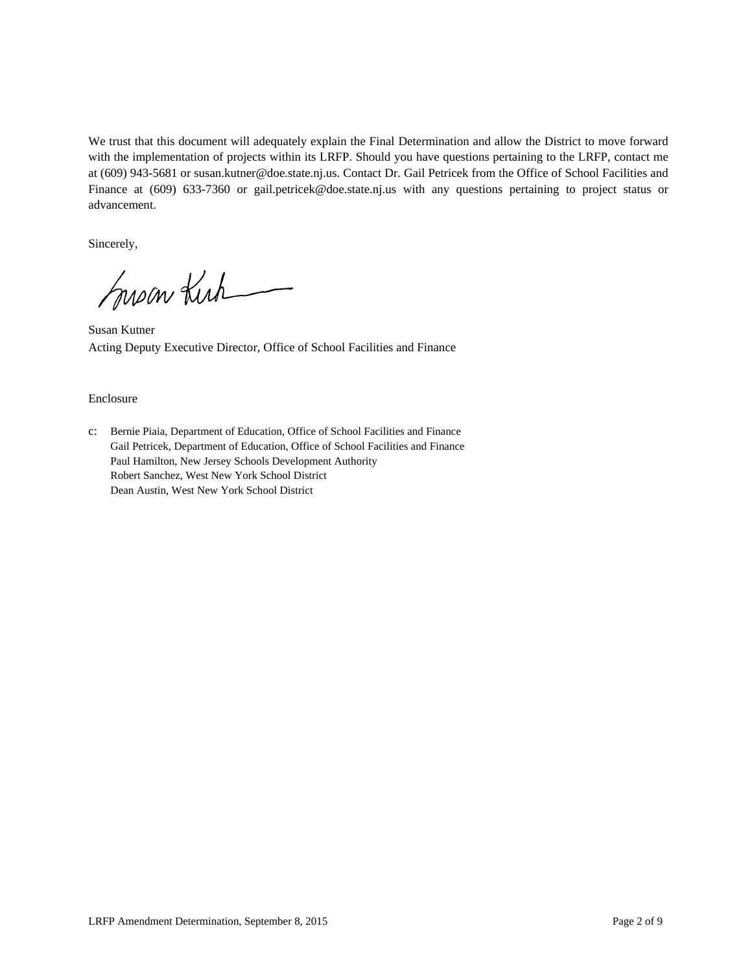We trust that this document will adequately explain the Final Determination and allow the District to move forward with the implementation of projects within its LRFP. Should you have questions pertaining to the LRFP, contact me at (609) 943-5681 or susan.kutner@doe.state.nj.us. Contact Dr. Gail Petricek from the Office of School Facilities and Finance at (609) 633-7360 or gail.petricek@doe.state.nj.us with any questions pertaining to project status or advancement.

Sincerely,

Susan Kirk

Susan Kutner Acting Deputy Executive Director, Office of School Facilities and Finance

#### Enclosure

c: Bernie Piaia, Department of Education, Office of School Facilities and Finance Gail Petricek, Department of Education, Office of School Facilities and Finance Paul Hamilton, New Jersey Schools Development Authority Robert Sanchez, West New York School District Dean Austin, West New York School District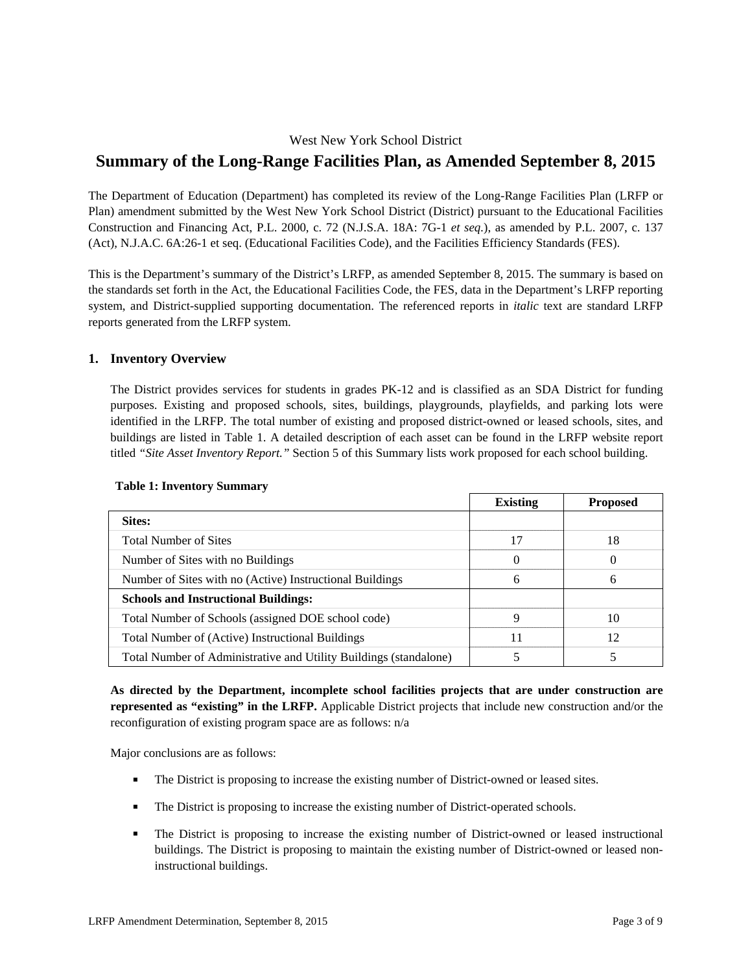# West New York School District

# **Summary of the Long-Range Facilities Plan, as Amended September 8, 2015**

The Department of Education (Department) has completed its review of the Long-Range Facilities Plan (LRFP or Plan) amendment submitted by the West New York School District (District) pursuant to the Educational Facilities Construction and Financing Act, P.L. 2000, c. 72 (N.J.S.A. 18A: 7G-1 *et seq.*), as amended by P.L. 2007, c. 137 (Act), N.J.A.C. 6A:26-1 et seq. (Educational Facilities Code), and the Facilities Efficiency Standards (FES).

This is the Department's summary of the District's LRFP, as amended September 8, 2015. The summary is based on the standards set forth in the Act, the Educational Facilities Code, the FES, data in the Department's LRFP reporting system, and District-supplied supporting documentation. The referenced reports in *italic* text are standard LRFP reports generated from the LRFP system.

## **1. Inventory Overview**

The District provides services for students in grades PK-12 and is classified as an SDA District for funding purposes. Existing and proposed schools, sites, buildings, playgrounds, playfields, and parking lots were identified in the LRFP. The total number of existing and proposed district-owned or leased schools, sites, and buildings are listed in Table 1. A detailed description of each asset can be found in the LRFP website report titled *"Site Asset Inventory Report."* Section 5 of this Summary lists work proposed for each school building.

|                                                                   | <b>Existing</b> | <b>Proposed</b> |
|-------------------------------------------------------------------|-----------------|-----------------|
| Sites:                                                            |                 |                 |
| <b>Total Number of Sites</b>                                      | 17              | 18              |
| Number of Sites with no Buildings                                 |                 | $\theta$        |
| Number of Sites with no (Active) Instructional Buildings          | 6               | 6               |
| <b>Schools and Instructional Buildings:</b>                       |                 |                 |
| Total Number of Schools (assigned DOE school code)                | Q               | 10              |
| Total Number of (Active) Instructional Buildings                  | 11              | 12              |
| Total Number of Administrative and Utility Buildings (standalone) |                 |                 |

## **Table 1: Inventory Summary**

**As directed by the Department, incomplete school facilities projects that are under construction are represented as "existing" in the LRFP.** Applicable District projects that include new construction and/or the reconfiguration of existing program space are as follows: n/a

Major conclusions are as follows:

- The District is proposing to increase the existing number of District-owned or leased sites.
- The District is proposing to increase the existing number of District-operated schools.
- The District is proposing to increase the existing number of District-owned or leased instructional buildings. The District is proposing to maintain the existing number of District-owned or leased noninstructional buildings.

┑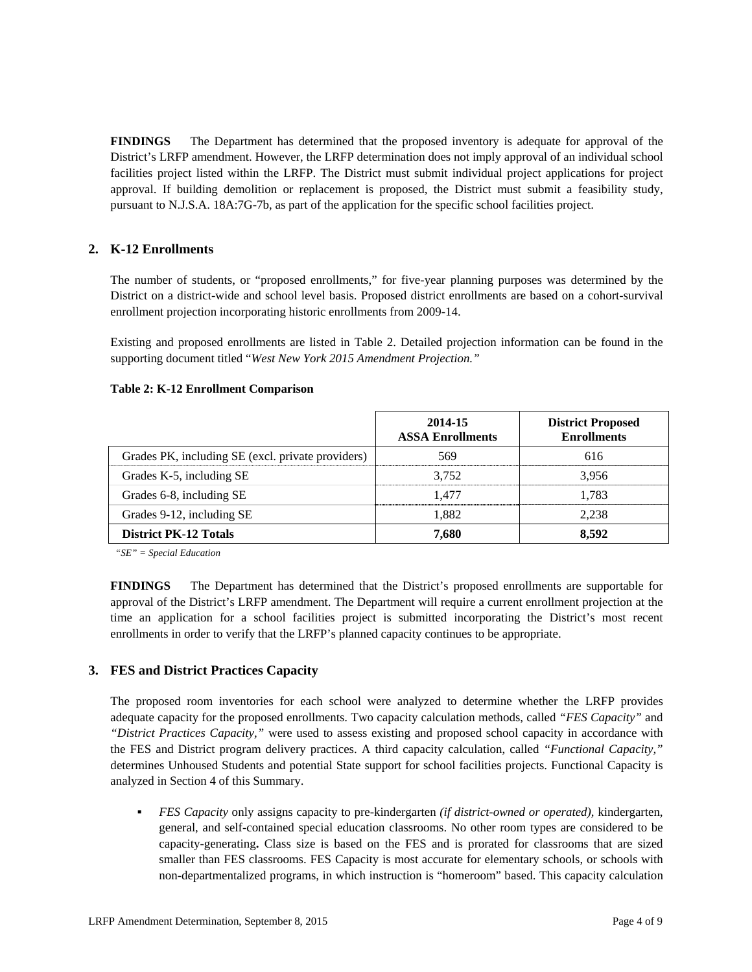**FINDINGS** The Department has determined that the proposed inventory is adequate for approval of the District's LRFP amendment. However, the LRFP determination does not imply approval of an individual school facilities project listed within the LRFP. The District must submit individual project applications for project approval. If building demolition or replacement is proposed, the District must submit a feasibility study, pursuant to N.J.S.A. 18A:7G-7b, as part of the application for the specific school facilities project.

# **2. K-12 Enrollments**

The number of students, or "proposed enrollments," for five-year planning purposes was determined by the District on a district-wide and school level basis. Proposed district enrollments are based on a cohort-survival enrollment projection incorporating historic enrollments from 2009-14.

Existing and proposed enrollments are listed in Table 2. Detailed projection information can be found in the supporting document titled "*West New York 2015 Amendment Projection."*

#### **Table 2: K-12 Enrollment Comparison**

|                                                   | 2014-15<br><b>ASSA Enrollments</b> | <b>District Proposed</b><br><b>Enrollments</b> |
|---------------------------------------------------|------------------------------------|------------------------------------------------|
| Grades PK, including SE (excl. private providers) | 569                                | 616                                            |
| Grades K-5, including SE                          | 3.752                              | 3.956                                          |
| Grades 6-8, including SE                          | 1.477                              | 1.783                                          |
| Grades 9-12, including SE                         | 1,882                              | 2.238                                          |
| <b>District PK-12 Totals</b>                      | 7.680                              | 8,592                                          |

*"SE" = Special Education* 

**FINDINGS** The Department has determined that the District's proposed enrollments are supportable for approval of the District's LRFP amendment. The Department will require a current enrollment projection at the time an application for a school facilities project is submitted incorporating the District's most recent enrollments in order to verify that the LRFP's planned capacity continues to be appropriate.

## **3. FES and District Practices Capacity**

The proposed room inventories for each school were analyzed to determine whether the LRFP provides adequate capacity for the proposed enrollments. Two capacity calculation methods, called *"FES Capacity"* and *"District Practices Capacity,"* were used to assess existing and proposed school capacity in accordance with the FES and District program delivery practices. A third capacity calculation, called *"Functional Capacity,"* determines Unhoused Students and potential State support for school facilities projects. Functional Capacity is analyzed in Section 4 of this Summary.

 *FES Capacity* only assigns capacity to pre-kindergarten *(if district-owned or operated),* kindergarten, general, and self-contained special education classrooms. No other room types are considered to be capacity-generating**.** Class size is based on the FES and is prorated for classrooms that are sized smaller than FES classrooms. FES Capacity is most accurate for elementary schools, or schools with non-departmentalized programs, in which instruction is "homeroom" based. This capacity calculation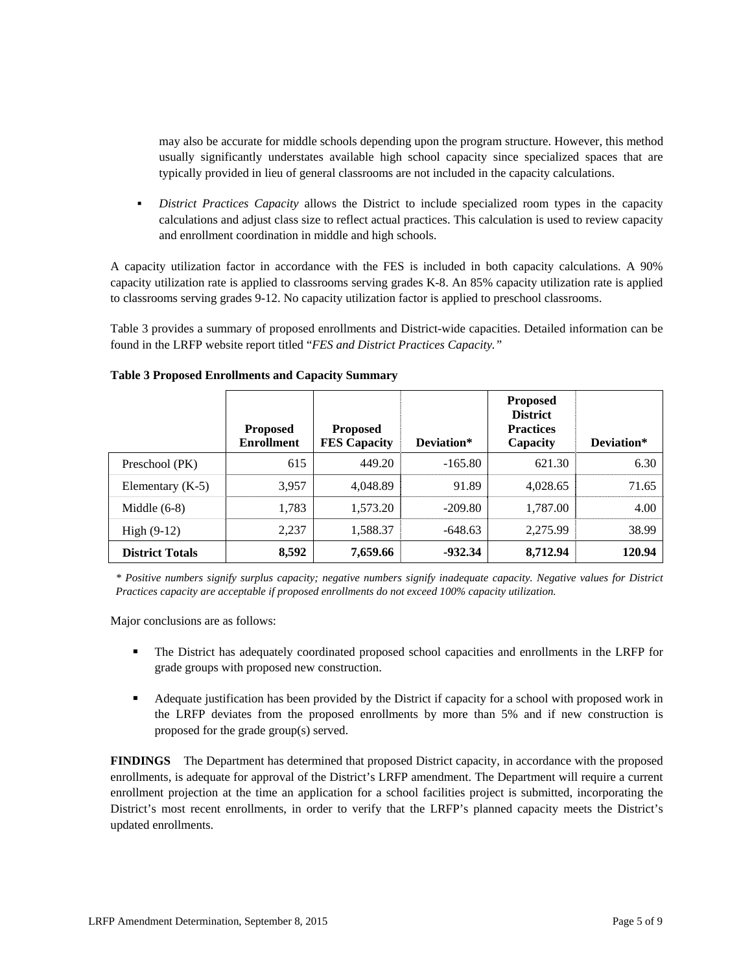may also be accurate for middle schools depending upon the program structure. However, this method usually significantly understates available high school capacity since specialized spaces that are typically provided in lieu of general classrooms are not included in the capacity calculations.

 *District Practices Capacity* allows the District to include specialized room types in the capacity calculations and adjust class size to reflect actual practices. This calculation is used to review capacity and enrollment coordination in middle and high schools.

A capacity utilization factor in accordance with the FES is included in both capacity calculations. A 90% capacity utilization rate is applied to classrooms serving grades K-8. An 85% capacity utilization rate is applied to classrooms serving grades 9-12. No capacity utilization factor is applied to preschool classrooms.

Table 3 provides a summary of proposed enrollments and District-wide capacities. Detailed information can be found in the LRFP website report titled "*FES and District Practices Capacity."*

|                        | <b>Proposed</b><br><b>Enrollment</b> | <b>Proposed</b><br><b>FES Capacity</b> | Deviation* | <b>Proposed</b><br><b>District</b><br><b>Practices</b><br>Capacity | Deviation* |
|------------------------|--------------------------------------|----------------------------------------|------------|--------------------------------------------------------------------|------------|
| Preschool (PK)         | 615                                  | 449.20                                 | $-165.80$  | 621.30                                                             | 6.30       |
| Elementary $(K-5)$     | 3,957                                | 4,048.89                               | 91.89      | 4,028.65                                                           | 71.65      |
| Middle $(6-8)$         | 1,783                                | 1,573.20                               | $-209.80$  | 1,787.00                                                           | 4.00       |
| High $(9-12)$          | 2.237                                | 1,588.37                               | $-648.63$  | 2.275.99                                                           | 38.99      |
| <b>District Totals</b> | 8,592                                | 7,659.66                               | $-932.34$  | 8,712.94                                                           | 120.94     |

#### **Table 3 Proposed Enrollments and Capacity Summary**

*\* Positive numbers signify surplus capacity; negative numbers signify inadequate capacity. Negative values for District Practices capacity are acceptable if proposed enrollments do not exceed 100% capacity utilization.* 

Major conclusions are as follows:

- The District has adequately coordinated proposed school capacities and enrollments in the LRFP for grade groups with proposed new construction.
- Adequate justification has been provided by the District if capacity for a school with proposed work in the LRFP deviates from the proposed enrollments by more than 5% and if new construction is proposed for the grade group(s) served.

**FINDINGS** The Department has determined that proposed District capacity, in accordance with the proposed enrollments, is adequate for approval of the District's LRFP amendment. The Department will require a current enrollment projection at the time an application for a school facilities project is submitted, incorporating the District's most recent enrollments, in order to verify that the LRFP's planned capacity meets the District's updated enrollments.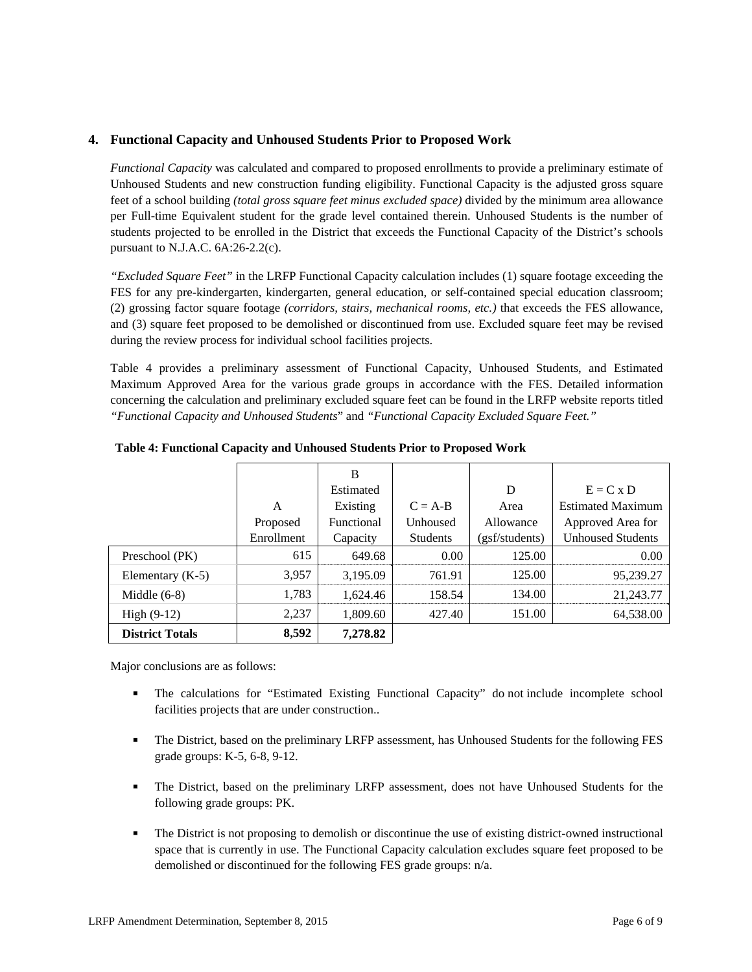## **4. Functional Capacity and Unhoused Students Prior to Proposed Work**

*Functional Capacity* was calculated and compared to proposed enrollments to provide a preliminary estimate of Unhoused Students and new construction funding eligibility. Functional Capacity is the adjusted gross square feet of a school building *(total gross square feet minus excluded space)* divided by the minimum area allowance per Full-time Equivalent student for the grade level contained therein. Unhoused Students is the number of students projected to be enrolled in the District that exceeds the Functional Capacity of the District's schools pursuant to N.J.A.C. 6A:26-2.2(c).

*"Excluded Square Feet"* in the LRFP Functional Capacity calculation includes (1) square footage exceeding the FES for any pre-kindergarten, kindergarten, general education, or self-contained special education classroom; (2) grossing factor square footage *(corridors, stairs, mechanical rooms, etc.)* that exceeds the FES allowance, and (3) square feet proposed to be demolished or discontinued from use. Excluded square feet may be revised during the review process for individual school facilities projects.

Table 4 provides a preliminary assessment of Functional Capacity, Unhoused Students, and Estimated Maximum Approved Area for the various grade groups in accordance with the FES. Detailed information concerning the calculation and preliminary excluded square feet can be found in the LRFP website reports titled *"Functional Capacity and Unhoused Students*" and *"Functional Capacity Excluded Square Feet."*

|                        |            | B          |                 |                |                          |
|------------------------|------------|------------|-----------------|----------------|--------------------------|
|                        |            | Estimated  |                 | D              | $E = C x D$              |
|                        | A          | Existing   | $C = A-B$       | Area           | <b>Estimated Maximum</b> |
|                        | Proposed   | Functional | Unhoused        | Allowance      | Approved Area for        |
|                        | Enrollment | Capacity   | <b>Students</b> | (gsf/students) | <b>Unhoused Students</b> |
| Preschool (PK)         | 615        | 649.68     | 0.00            | 125.00         | 0.00                     |
| Elementary $(K-5)$     | 3,957      | 3,195.09   | 761.91          | 125.00         | 95,239.27                |
| Middle $(6-8)$         | 1,783      | 1,624.46   | 158.54          | 134.00         | 21,243.77                |
| High $(9-12)$          | 2,237      | 1,809.60   | 427.40          | 151.00         | 64,538.00                |
| <b>District Totals</b> | 8,592      | 7,278.82   |                 |                |                          |

**Table 4: Functional Capacity and Unhoused Students Prior to Proposed Work** 

Major conclusions are as follows:

- The calculations for "Estimated Existing Functional Capacity" do not include incomplete school facilities projects that are under construction..
- **The District, based on the preliminary LRFP assessment, has Unhoused Students for the following FES** grade groups: K-5, 6-8, 9-12.
- The District, based on the preliminary LRFP assessment, does not have Unhoused Students for the following grade groups: PK.
- The District is not proposing to demolish or discontinue the use of existing district-owned instructional space that is currently in use. The Functional Capacity calculation excludes square feet proposed to be demolished or discontinued for the following FES grade groups: n/a.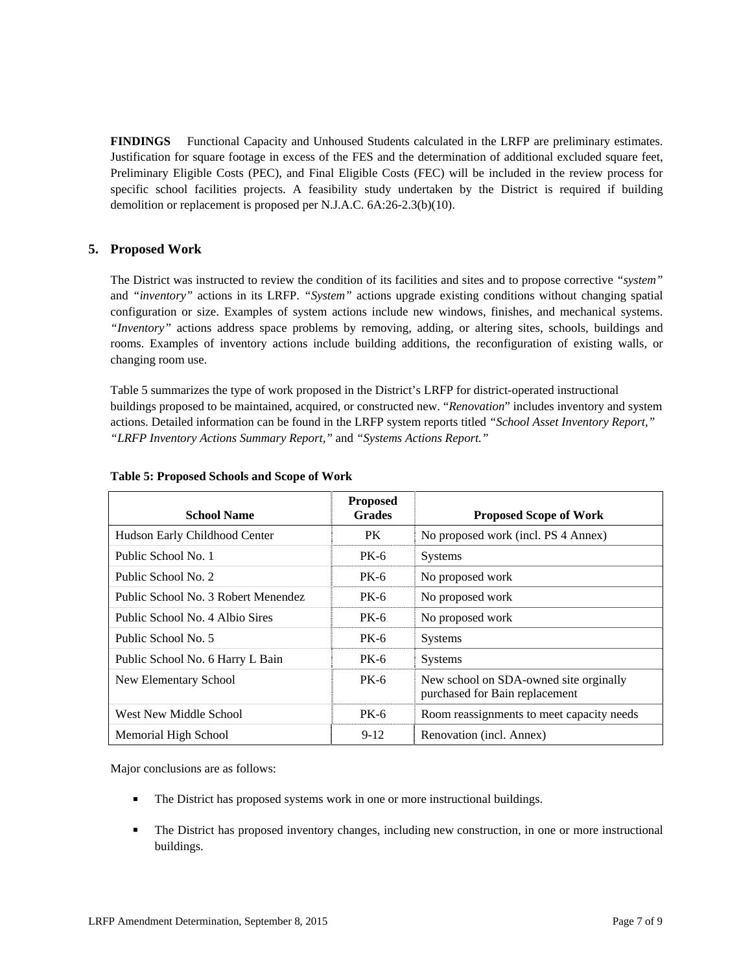**FINDINGS** Functional Capacity and Unhoused Students calculated in the LRFP are preliminary estimates. Justification for square footage in excess of the FES and the determination of additional excluded square feet, Preliminary Eligible Costs (PEC), and Final Eligible Costs (FEC) will be included in the review process for specific school facilities projects. A feasibility study undertaken by the District is required if building demolition or replacement is proposed per N.J.A.C. 6A:26-2.3(b)(10).

## **5. Proposed Work**

The District was instructed to review the condition of its facilities and sites and to propose corrective *"system"* and *"inventory"* actions in its LRFP. *"System"* actions upgrade existing conditions without changing spatial configuration or size. Examples of system actions include new windows, finishes, and mechanical systems. *"Inventory"* actions address space problems by removing, adding, or altering sites, schools, buildings and rooms. Examples of inventory actions include building additions, the reconfiguration of existing walls, or changing room use.

Table 5 summarizes the type of work proposed in the District's LRFP for district-operated instructional buildings proposed to be maintained, acquired, or constructed new. "*Renovation*" includes inventory and system actions. Detailed information can be found in the LRFP system reports titled *"School Asset Inventory Report," "LRFP Inventory Actions Summary Report,"* and *"Systems Actions Report."*

| <b>School Name</b>                  | <b>Proposed</b><br><b>Grades</b> | <b>Proposed Scope of Work</b>                                            |
|-------------------------------------|----------------------------------|--------------------------------------------------------------------------|
| Hudson Early Childhood Center       | PK.                              | No proposed work (incl. PS 4 Annex)                                      |
| Public School No. 1                 | <b>PK-6</b>                      | <b>Systems</b>                                                           |
| Public School No. 2                 | <b>PK-6</b>                      | No proposed work                                                         |
| Public School No. 3 Robert Menendez | <b>PK-6</b>                      | No proposed work                                                         |
| Public School No. 4 Albio Sires     | PK-6                             | No proposed work                                                         |
| Public School No. 5                 | <b>PK-6</b>                      | <b>Systems</b>                                                           |
| Public School No. 6 Harry L Bain    | <b>PK-6</b>                      | <b>Systems</b>                                                           |
| New Elementary School               | <b>PK-6</b>                      | New school on SDA-owned site orginally<br>purchased for Bain replacement |
| West New Middle School              | <b>PK-6</b>                      | Room reassignments to meet capacity needs                                |
| Memorial High School                | $9-12$                           | Renovation (incl. Annex)                                                 |

#### **Table 5: Proposed Schools and Scope of Work**

Major conclusions are as follows:

- The District has proposed systems work in one or more instructional buildings.
- The District has proposed inventory changes, including new construction, in one or more instructional buildings.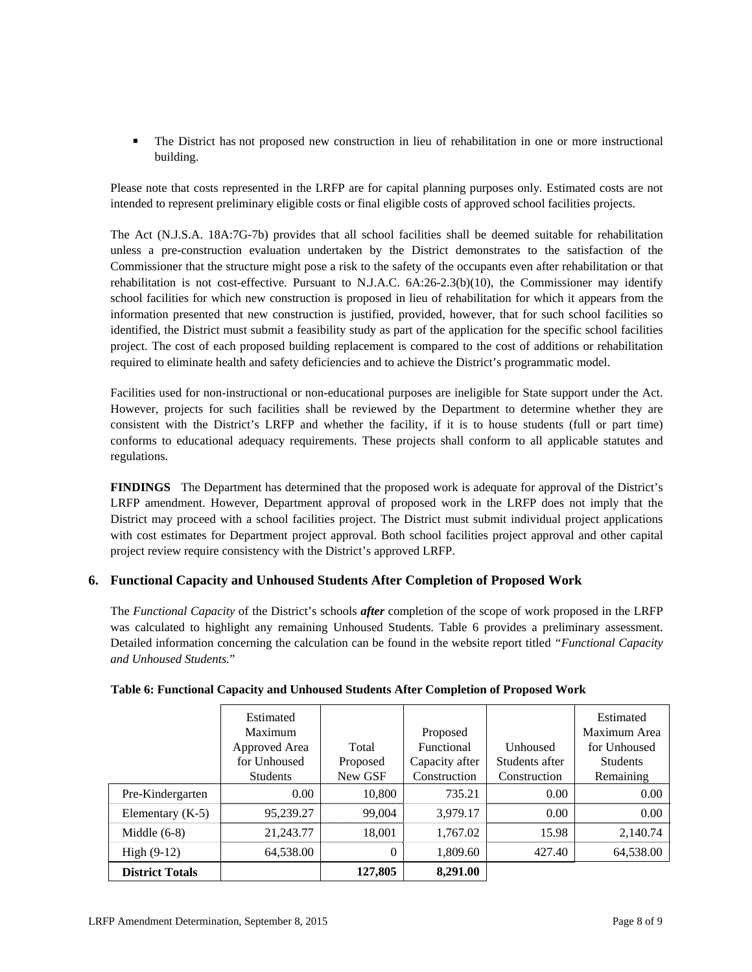The District has not proposed new construction in lieu of rehabilitation in one or more instructional building.

Please note that costs represented in the LRFP are for capital planning purposes only. Estimated costs are not intended to represent preliminary eligible costs or final eligible costs of approved school facilities projects.

The Act (N.J.S.A. 18A:7G-7b) provides that all school facilities shall be deemed suitable for rehabilitation unless a pre-construction evaluation undertaken by the District demonstrates to the satisfaction of the Commissioner that the structure might pose a risk to the safety of the occupants even after rehabilitation or that rehabilitation is not cost-effective. Pursuant to N.J.A.C. 6A:26-2.3(b)(10), the Commissioner may identify school facilities for which new construction is proposed in lieu of rehabilitation for which it appears from the information presented that new construction is justified, provided, however, that for such school facilities so identified, the District must submit a feasibility study as part of the application for the specific school facilities project. The cost of each proposed building replacement is compared to the cost of additions or rehabilitation required to eliminate health and safety deficiencies and to achieve the District's programmatic model.

Facilities used for non-instructional or non-educational purposes are ineligible for State support under the Act. However, projects for such facilities shall be reviewed by the Department to determine whether they are consistent with the District's LRFP and whether the facility, if it is to house students (full or part time) conforms to educational adequacy requirements. These projects shall conform to all applicable statutes and regulations.

**FINDINGS** The Department has determined that the proposed work is adequate for approval of the District's LRFP amendment. However, Department approval of proposed work in the LRFP does not imply that the District may proceed with a school facilities project. The District must submit individual project applications with cost estimates for Department project approval. Both school facilities project approval and other capital project review require consistency with the District's approved LRFP.

# **6. Functional Capacity and Unhoused Students After Completion of Proposed Work**

The *Functional Capacity* of the District's schools *after* completion of the scope of work proposed in the LRFP was calculated to highlight any remaining Unhoused Students. Table 6 provides a preliminary assessment. Detailed information concerning the calculation can be found in the website report titled *"Functional Capacity and Unhoused Students.*"

|                        | Estimated       |          |                |                | Estimated       |
|------------------------|-----------------|----------|----------------|----------------|-----------------|
|                        | Maximum         |          | Proposed       |                | Maximum Area    |
|                        | Approved Area   | Total    | Functional     | Unhoused       | for Unhoused    |
|                        | for Unhoused    | Proposed | Capacity after | Students after | <b>Students</b> |
|                        | <b>Students</b> | New GSF  | Construction   | Construction   | Remaining       |
| Pre-Kindergarten       | 0.00            | 10,800   | 735.21         | 0.00           | 0.00            |
| Elementary $(K-5)$     | 95,239.27       | 99,004   | 3,979.17       | 0.00           | 0.00            |
| Middle $(6-8)$         | 21,243.77       | 18,001   | 1,767.02       | 15.98          | 2,140.74        |
| High $(9-12)$          | 64,538.00       | $\theta$ | 1,809.60       | 427.40         | 64,538.00       |
| <b>District Totals</b> |                 | 127,805  | 8,291.00       |                |                 |

## **Table 6: Functional Capacity and Unhoused Students After Completion of Proposed Work**